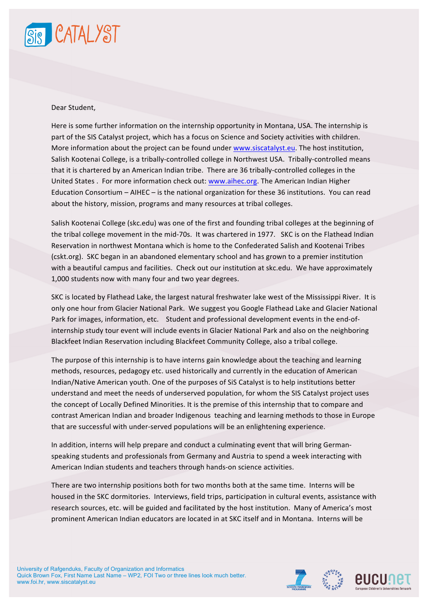

## Dear Student.

Here is some further information on the internship opportunity in Montana, USA. The internship is part of the SIS Catalyst project, which has a focus on Science and Society activities with children. More information about the project can be found under www.siscatalyst.eu. The host institution, Salish Kootenai College, is a tribally-controlled college in Northwest USA. Tribally-controlled means that it is chartered by an American Indian tribe. There are 36 tribally-controlled colleges in the United States . For more information check out: www.aihec.org. The American Indian Higher Education Consortium  $-$  AIHEC  $-$  is the national organization for these 36 institutions. You can read about the history, mission, programs and many resources at tribal colleges.

Salish Kootenai College (skc.edu) was one of the first and founding tribal colleges at the beginning of the tribal college movement in the mid-70s. It was chartered in 1977. SKC is on the Flathead Indian Reservation in northwest Montana which is home to the Confederated Salish and Kootenai Tribes (cskt.org). SKC began in an abandoned elementary school and has grown to a premier institution with a beautiful campus and facilities. Check out our institution at skc.edu. We have approximately 1,000 students now with many four and two year degrees.

SKC is located by Flathead Lake, the largest natural freshwater lake west of the Mississippi River. It is only one hour from Glacier National Park. We suggest you Google Flathead Lake and Glacier National Park for images, information, etc. Student and professional development events in the end-ofinternship study tour event will include events in Glacier National Park and also on the neighboring Blackfeet Indian Reservation including Blackfeet Community College, also a tribal college.

The purpose of this internship is to have interns gain knowledge about the teaching and learning methods, resources, pedagogy etc. used historically and currently in the education of American Indian/Native American youth. One of the purposes of SiS Catalyst is to help institutions better understand and meet the needs of underserved population, for whom the SIS Catalyst project uses the concept of Locally Defined Minorities. It is the premise of this internship that to compare and contrast American Indian and broader Indigenous teaching and learning methods to those in Europe that are successful with under-served populations will be an enlightening experience.

In addition, interns will help prepare and conduct a culminating event that will bring Germanspeaking students and professionals from Germany and Austria to spend a week interacting with American Indian students and teachers through hands-on science activities.

There are two internship positions both for two months both at the same time. Interns will be housed in the SKC dormitories. Interviews, field trips, participation in cultural events, assistance with research sources, etc. will be guided and facilitated by the host institution. Many of America's most prominent American Indian educators are located in at SKC itself and in Montana. Interns will be